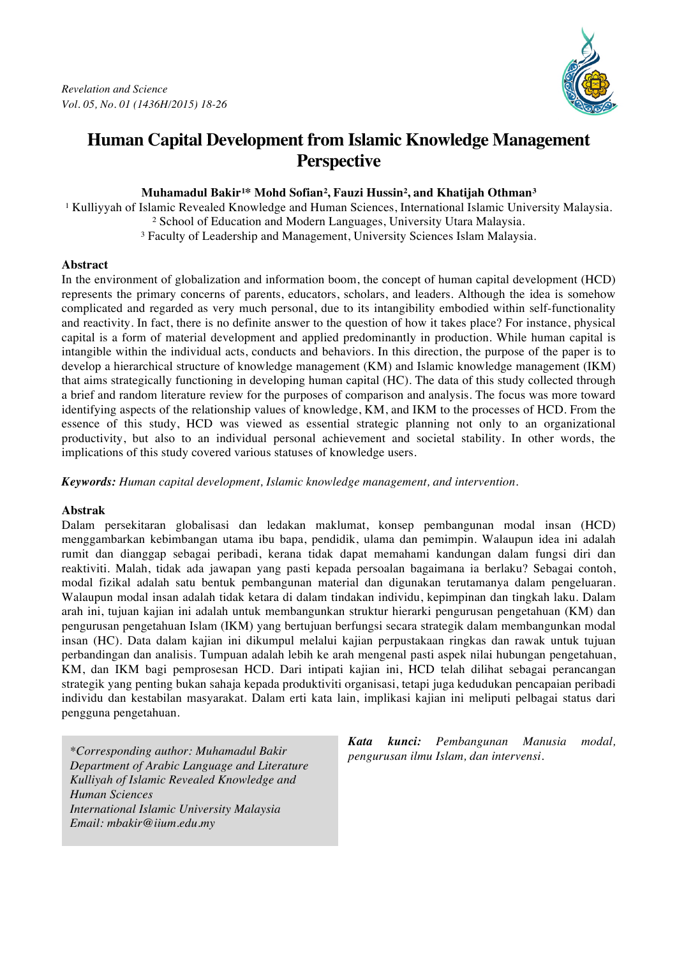

# **Human Capital Development from Islamic Knowledge Management Perspective**

## **Muhamadul Bakir¹\* Mohd Sofian², Fauzi Hussin², and Khatijah Othman³**

<sup>1</sup> Kulliyyah of Islamic Revealed Knowledge and Human Sciences, International Islamic University Malaysia.

² School of Education and Modern Languages, University Utara Malaysia.

³ Faculty of Leadership and Management, University Sciences Islam Malaysia.

### **Abstract**

In the environment of globalization and information boom, the concept of human capital development (HCD) represents the primary concerns of parents, educators, scholars, and leaders. Although the idea is somehow complicated and regarded as very much personal, due to its intangibility embodied within self-functionality and reactivity. In fact, there is no definite answer to the question of how it takes place? For instance, physical capital is a form of material development and applied predominantly in production. While human capital is intangible within the individual acts, conducts and behaviors. In this direction, the purpose of the paper is to develop a hierarchical structure of knowledge management (KM) and Islamic knowledge management (IKM) that aims strategically functioning in developing human capital (HC). The data of this study collected through a brief and random literature review for the purposes of comparison and analysis. The focus was more toward identifying aspects of the relationship values of knowledge, KM, and IKM to the processes of HCD. From the essence of this study, HCD was viewed as essential strategic planning not only to an organizational productivity, but also to an individual personal achievement and societal stability. In other words, the implications of this study covered various statuses of knowledge users.

*Keywords: Human capital development, Islamic knowledge management, and intervention.*

## **Abstrak**

Dalam persekitaran globalisasi dan ledakan maklumat, konsep pembangunan modal insan (HCD) menggambarkan kebimbangan utama ibu bapa, pendidik, ulama dan pemimpin. Walaupun idea ini adalah rumit dan dianggap sebagai peribadi, kerana tidak dapat memahami kandungan dalam fungsi diri dan reaktiviti. Malah, tidak ada jawapan yang pasti kepada persoalan bagaimana ia berlaku? Sebagai contoh, modal fizikal adalah satu bentuk pembangunan material dan digunakan terutamanya dalam pengeluaran. Walaupun modal insan adalah tidak ketara di dalam tindakan individu, kepimpinan dan tingkah laku. Dalam arah ini, tujuan kajian ini adalah untuk membangunkan struktur hierarki pengurusan pengetahuan (KM) dan pengurusan pengetahuan Islam (IKM) yang bertujuan berfungsi secara strategik dalam membangunkan modal insan (HC). Data dalam kajian ini dikumpul melalui kajian perpustakaan ringkas dan rawak untuk tujuan perbandingan dan analisis. Tumpuan adalah lebih ke arah mengenal pasti aspek nilai hubungan pengetahuan, KM, dan IKM bagi pemprosesan HCD. Dari intipati kajian ini, HCD telah dilihat sebagai perancangan strategik yang penting bukan sahaja kepada produktiviti organisasi, tetapi juga kedudukan pencapaian peribadi individu dan kestabilan masyarakat. Dalam erti kata lain, implikasi kajian ini meliputi pelbagai status dari pengguna pengetahuan.

*pengurusan ilmu Islam, dan intervensi. \*Corresponding author: Muhamadul Bakir Department of Arabic Language and Literature Kulliyah of Islamic Revealed Knowledge and Human Sciences International Islamic University Malaysia Email: mbakir@iium.edu.my*

*Kata kunci: Pembangunan Manusia modal,*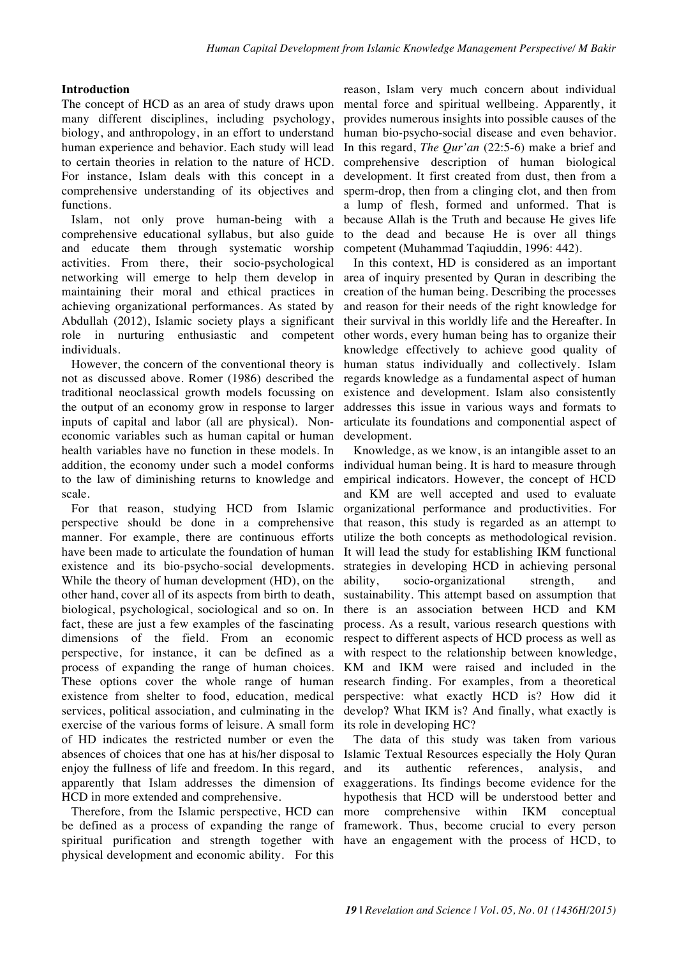#### **Introduction**

The concept of HCD as an area of study draws upon many different disciplines, including psychology, biology, and anthropology, in an effort to understand human experience and behavior. Each study will lead to certain theories in relation to the nature of HCD. For instance, Islam deals with this concept in a comprehensive understanding of its objectives and functions.

Islam, not only prove human-being with a comprehensive educational syllabus, but also guide and educate them through systematic worship activities. From there, their socio-psychological networking will emerge to help them develop in maintaining their moral and ethical practices in achieving organizational performances. As stated by Abdullah (2012), Islamic society plays a significant role in nurturing enthusiastic and competent individuals.

However, the concern of the conventional theory is not as discussed above. Romer (1986) described the traditional neoclassical growth models focussing on the output of an economy grow in response to larger inputs of capital and labor (all are physical). Noneconomic variables such as human capital or human health variables have no function in these models. In addition, the economy under such a model conforms to the law of diminishing returns to knowledge and scale.

For that reason, studying HCD from Islamic perspective should be done in a comprehensive manner. For example, there are continuous efforts have been made to articulate the foundation of human existence and its bio-psycho-social developments. While the theory of human development (HD), on the other hand, cover all of its aspects from birth to death, biological, psychological, sociological and so on. In fact, these are just a few examples of the fascinating dimensions of the field. From an economic perspective, for instance, it can be defined as a process of expanding the range of human choices. These options cover the whole range of human existence from shelter to food, education, medical services, political association, and culminating in the exercise of the various forms of leisure. A small form of HD indicates the restricted number or even the absences of choices that one has at his/her disposal to enjoy the fullness of life and freedom. In this regard, apparently that Islam addresses the dimension of HCD in more extended and comprehensive.

Therefore, from the Islamic perspective, HCD can be defined as a process of expanding the range of spiritual purification and strength together with physical development and economic ability. For this

reason, Islam very much concern about individual mental force and spiritual wellbeing. Apparently, it provides numerous insights into possible causes of the human bio-psycho-social disease and even behavior. In this regard, *The Qur'an* (22:5-6) make a brief and comprehensive description of human biological development. It first created from dust, then from a sperm-drop, then from a clinging clot, and then from a lump of flesh, formed and unformed. That is because Allah is the Truth and because He gives life to the dead and because He is over all things competent (Muhammad Taqiuddin, 1996: 442).

In this context, HD is considered as an important area of inquiry presented by Quran in describing the creation of the human being. Describing the processes and reason for their needs of the right knowledge for their survival in this worldly life and the Hereafter. In other words, every human being has to organize their knowledge effectively to achieve good quality of human status individually and collectively. Islam regards knowledge as a fundamental aspect of human existence and development. Islam also consistently addresses this issue in various ways and formats to articulate its foundations and componential aspect of development.

Knowledge, as we know, is an intangible asset to an individual human being. It is hard to measure through empirical indicators. However, the concept of HCD and KM are well accepted and used to evaluate organizational performance and productivities. For that reason, this study is regarded as an attempt to utilize the both concepts as methodological revision. It will lead the study for establishing IKM functional strategies in developing HCD in achieving personal ability, socio-organizational strength, and sustainability. This attempt based on assumption that there is an association between HCD and KM process. As a result, various research questions with respect to different aspects of HCD process as well as with respect to the relationship between knowledge, KM and IKM were raised and included in the research finding. For examples, from a theoretical perspective: what exactly HCD is? How did it develop? What IKM is? And finally, what exactly is its role in developing HC?

The data of this study was taken from various Islamic Textual Resources especially the Holy Quran and its authentic references, analysis, and exaggerations. Its findings become evidence for the hypothesis that HCD will be understood better and more comprehensive within IKM conceptual framework. Thus, become crucial to every person have an engagement with the process of HCD, to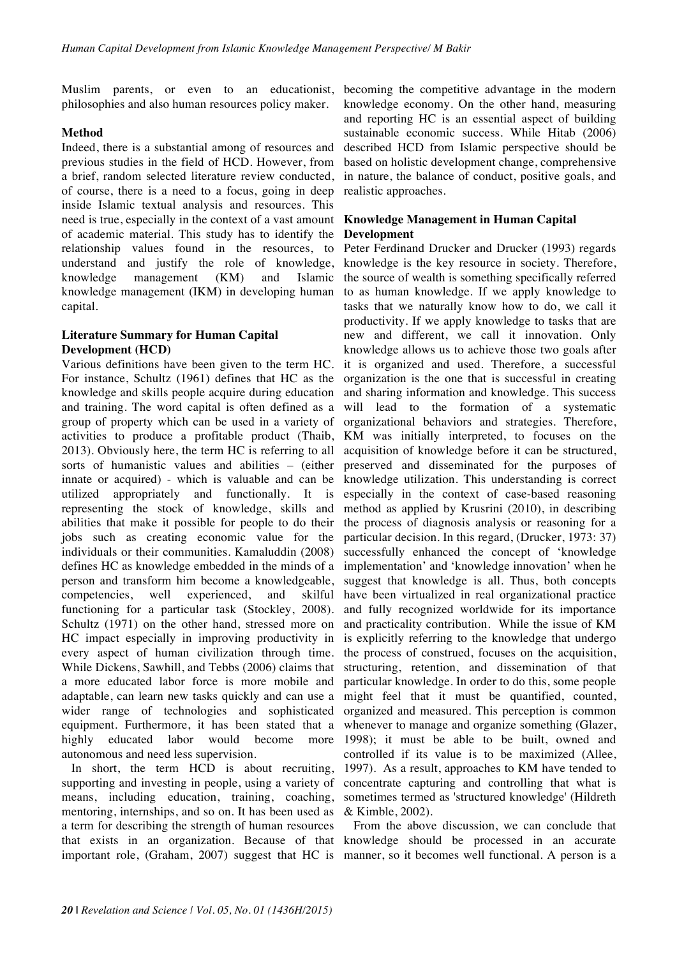Muslim parents, or even to an educationist, philosophies and also human resources policy maker.

### **Method**

Indeed, there is a substantial among of resources and previous studies in the field of HCD. However, from a brief, random selected literature review conducted, of course, there is a need to a focus, going in deep inside Islamic textual analysis and resources. This need is true, especially in the context of a vast amount of academic material. This study has to identify the relationship values found in the resources, to understand and justify the role of knowledge, knowledge management (KM) and Islamic knowledge management (IKM) in developing human capital.

## **Literature Summary for Human Capital Development (HCD)**

Various definitions have been given to the term HC. For instance, Schultz (1961) defines that HC as the knowledge and skills people acquire during education and training. The word capital is often defined as a group of property which can be used in a variety of activities to produce a profitable product (Thaib, 2013). Obviously here, the term HC is referring to all sorts of humanistic values and abilities – (either innate or acquired) - which is valuable and can be utilized appropriately and functionally. It is representing the stock of knowledge, skills and abilities that make it possible for people to do their jobs such as creating economic value for the individuals or their communities. Kamaluddin (2008) defines HC as knowledge embedded in the minds of a person and transform him become a knowledgeable, competencies, well experienced, and skilful functioning for a particular task (Stockley, 2008). Schultz (1971) on the other hand, stressed more on HC impact especially in improving productivity in every aspect of human civilization through time. While Dickens, Sawhill, and Tebbs (2006) claims that a more educated labor force is more mobile and adaptable, can learn new tasks quickly and can use a wider range of technologies and sophisticated equipment. Furthermore, it has been stated that a highly educated labor would become more autonomous and need less supervision.

In short, the term HCD is about recruiting, supporting and investing in people, using a variety of means, including education, training, coaching, mentoring, internships, and so on. It has been used as a term for describing the strength of human resources that exists in an organization. Because of that

becoming the competitive advantage in the modern knowledge economy. On the other hand, measuring and reporting HC is an essential aspect of building sustainable economic success. While Hitab (2006) described HCD from Islamic perspective should be based on holistic development change, comprehensive in nature, the balance of conduct, positive goals, and realistic approaches.

#### **Knowledge Management in Human Capital Development**

Peter Ferdinand Drucker and Drucker (1993) regards knowledge is the key resource in society. Therefore, the source of wealth is something specifically referred to as human knowledge. If we apply knowledge to tasks that we naturally know how to do, we call it productivity. If we apply knowledge to tasks that are new and different, we call it innovation. Only knowledge allows us to achieve those two goals after it is organized and used. Therefore, a successful organization is the one that is successful in creating and sharing information and knowledge. This success will lead to the formation of a systematic organizational behaviors and strategies. Therefore, KM was initially interpreted, to focuses on the acquisition of knowledge before it can be structured, preserved and disseminated for the purposes of knowledge utilization. This understanding is correct especially in the context of case-based reasoning method as applied by Krusrini (2010), in describing the process of diagnosis analysis or reasoning for a particular decision. In this regard, (Drucker, 1973: 37) successfully enhanced the concept of 'knowledge implementation' and 'knowledge innovation' when he suggest that knowledge is all. Thus, both concepts have been virtualized in real organizational practice and fully recognized worldwide for its importance and practicality contribution. While the issue of KM is explicitly referring to the knowledge that undergo the process of construed, focuses on the acquisition, structuring, retention, and dissemination of that particular knowledge. In order to do this, some people might feel that it must be quantified, counted, organized and measured. This perception is common whenever to manage and organize something (Glazer, 1998); it must be able to be built, owned and controlled if its value is to be maximized (Allee, 1997). As a result, approaches to KM have tended to concentrate capturing and controlling that what is sometimes termed as 'structured knowledge' (Hildreth & Kimble, 2002).

important role, (Graham, 2007) suggest that HC is manner, so it becomes well functional. A person is a From the above discussion, we can conclude that knowledge should be processed in an accurate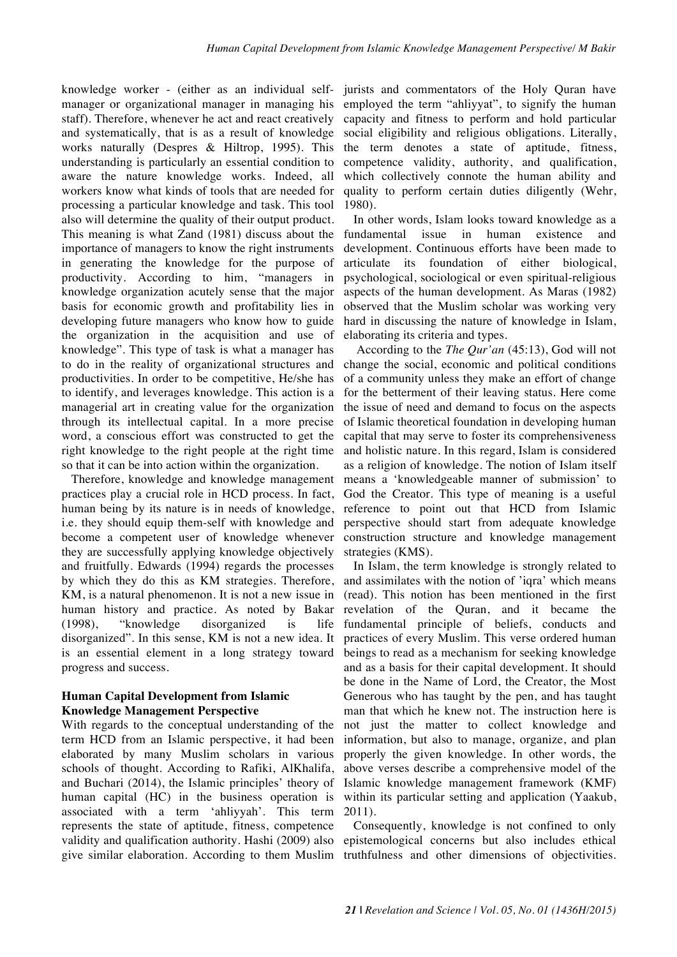knowledge worker - (either as an individual selfmanager or organizational manager in managing his staff). Therefore, whenever he act and react creatively and systematically, that is as a result of knowledge works naturally (Despres & Hiltrop, 1995). This understanding is particularly an essential condition to aware the nature knowledge works. Indeed, all workers know what kinds of tools that are needed for processing a particular knowledge and task. This tool also will determine the quality of their output product. This meaning is what Zand (1981) discuss about the importance of managers to know the right instruments in generating the knowledge for the purpose of productivity. According to him, "managers in knowledge organization acutely sense that the major basis for economic growth and profitability lies in developing future managers who know how to guide the organization in the acquisition and use of knowledge". This type of task is what a manager has to do in the reality of organizational structures and productivities. In order to be competitive, He/she has to identify, and leverages knowledge. This action is a managerial art in creating value for the organization through its intellectual capital. In a more precise word, a conscious effort was constructed to get the right knowledge to the right people at the right time so that it can be into action within the organization.

Therefore, knowledge and knowledge management practices play a crucial role in HCD process. In fact, human being by its nature is in needs of knowledge, i.e. they should equip them-self with knowledge and become a competent user of knowledge whenever they are successfully applying knowledge objectively and fruitfully. Edwards (1994) regards the processes by which they do this as KM strategies. Therefore, KM, is a natural phenomenon. It is not a new issue in human history and practice. As noted by Bakar (1998), "knowledge disorganized is life disorganized". In this sense, KM is not a new idea. It is an essential element in a long strategy toward progress and success.

#### **Human Capital Development from Islamic Knowledge Management Perspective**

With regards to the conceptual understanding of the term HCD from an Islamic perspective, it had been elaborated by many Muslim scholars in various schools of thought. According to Rafiki, AlKhalifa, and Buchari (2014), the Islamic principles' theory of human capital (HC) in the business operation is associated with a term 'ahliyyah'. This term represents the state of aptitude, fitness, competence validity and qualification authority. Hashi (2009) also give similar elaboration. According to them Muslim truthfulness and other dimensions of objectivities.

jurists and commentators of the Holy Quran have employed the term "ahliyyat", to signify the human capacity and fitness to perform and hold particular social eligibility and religious obligations. Literally, the term denotes a state of aptitude, fitness, competence validity, authority, and qualification, which collectively connote the human ability and quality to perform certain duties diligently (Wehr, 1980).

In other words, Islam looks toward knowledge as a fundamental issue in human existence and development. Continuous efforts have been made to articulate its foundation of either biological, psychological, sociological or even spiritual-religious aspects of the human development. As Maras (1982) observed that the Muslim scholar was working very hard in discussing the nature of knowledge in Islam, elaborating its criteria and types.

According to the *The Qur'an* (45:13), God will not change the social, economic and political conditions of a community unless they make an effort of change for the betterment of their leaving status. Here come the issue of need and demand to focus on the aspects of Islamic theoretical foundation in developing human capital that may serve to foster its comprehensiveness and holistic nature. In this regard, Islam is considered as a religion of knowledge. The notion of Islam itself means a 'knowledgeable manner of submission' to God the Creator. This type of meaning is a useful reference to point out that HCD from Islamic perspective should start from adequate knowledge construction structure and knowledge management strategies (KMS).

In Islam, the term knowledge is strongly related to and assimilates with the notion of 'iqra' which means (read). This notion has been mentioned in the first revelation of the Quran, and it became the fundamental principle of beliefs, conducts and practices of every Muslim. This verse ordered human beings to read as a mechanism for seeking knowledge and as a basis for their capital development. It should be done in the Name of Lord, the Creator, the Most Generous who has taught by the pen, and has taught man that which he knew not. The instruction here is not just the matter to collect knowledge and information, but also to manage, organize, and plan properly the given knowledge. In other words, the above verses describe a comprehensive model of the Islamic knowledge management framework (KMF) within its particular setting and application (Yaakub, 2011).

Consequently, knowledge is not confined to only epistemological concerns but also includes ethical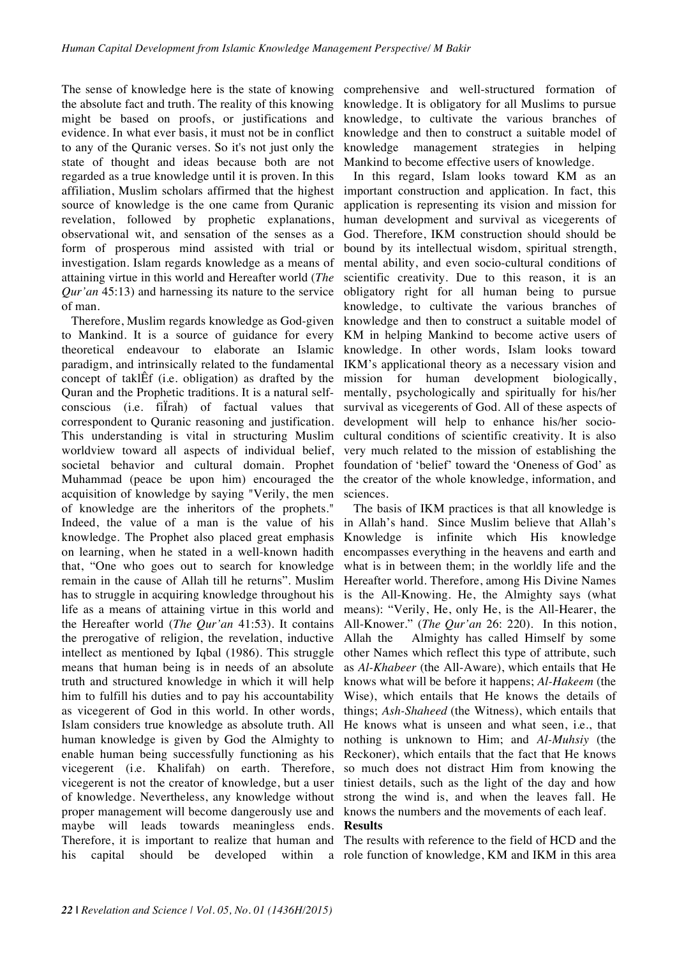The sense of knowledge here is the state of knowing the absolute fact and truth. The reality of this knowing might be based on proofs, or justifications and evidence. In what ever basis, it must not be in conflict to any of the Quranic verses. So it's not just only the state of thought and ideas because both are not regarded as a true knowledge until it is proven. In this affiliation, Muslim scholars affirmed that the highest source of knowledge is the one came from Quranic revelation, followed by prophetic explanations, observational wit, and sensation of the senses as a form of prosperous mind assisted with trial or investigation. Islam regards knowledge as a means of attaining virtue in this world and Hereafter world (*The Qur'an* 45:13) and harnessing its nature to the service of man.

Therefore, Muslim regards knowledge as God-given to Mankind. It is a source of guidance for every theoretical endeavour to elaborate an Islamic paradigm, and intrinsically related to the fundamental concept of taklÊf (i.e. obligation) as drafted by the Quran and the Prophetic traditions. It is a natural selfconscious (i.e. fiÏrah) of factual values that correspondent to Quranic reasoning and justification. This understanding is vital in structuring Muslim worldview toward all aspects of individual belief, societal behavior and cultural domain. Prophet Muhammad (peace be upon him) encouraged the acquisition of knowledge by saying "Verily, the men of knowledge are the inheritors of the prophets." Indeed, the value of a man is the value of his knowledge. The Prophet also placed great emphasis on learning, when he stated in a well-known hadith that, "One who goes out to search for knowledge remain in the cause of Allah till he returns". Muslim has to struggle in acquiring knowledge throughout his life as a means of attaining virtue in this world and the Hereafter world (*The Qur'an* 41:53). It contains the prerogative of religion, the revelation, inductive intellect as mentioned by Iqbal (1986). This struggle means that human being is in needs of an absolute truth and structured knowledge in which it will help him to fulfill his duties and to pay his accountability as vicegerent of God in this world. In other words, Islam considers true knowledge as absolute truth. All human knowledge is given by God the Almighty to enable human being successfully functioning as his vicegerent (i.e. Khalifah) on earth. Therefore, vicegerent is not the creator of knowledge, but a user of knowledge. Nevertheless, any knowledge without proper management will become dangerously use and maybe will leads towards meaningless ends. Therefore, it is important to realize that human and his capital should be developed within a role function of knowledge, KM and IKM in this area

comprehensive and well-structured formation of knowledge. It is obligatory for all Muslims to pursue knowledge, to cultivate the various branches of knowledge and then to construct a suitable model of knowledge management strategies in helping Mankind to become effective users of knowledge.

In this regard, Islam looks toward KM as an important construction and application. In fact, this application is representing its vision and mission for human development and survival as vicegerents of God. Therefore, IKM construction should should be bound by its intellectual wisdom, spiritual strength, mental ability, and even socio-cultural conditions of scientific creativity. Due to this reason, it is an obligatory right for all human being to pursue knowledge, to cultivate the various branches of knowledge and then to construct a suitable model of KM in helping Mankind to become active users of knowledge. In other words, Islam looks toward IKM's applicational theory as a necessary vision and mission for human development biologically, mentally, psychologically and spiritually for his/her survival as vicegerents of God. All of these aspects of development will help to enhance his/her sociocultural conditions of scientific creativity. It is also very much related to the mission of establishing the foundation of 'belief' toward the 'Oneness of God' as the creator of the whole knowledge, information, and sciences.

The basis of IKM practices is that all knowledge is in Allah's hand. Since Muslim believe that Allah's Knowledge is infinite which His knowledge encompasses everything in the heavens and earth and what is in between them; in the worldly life and the Hereafter world. Therefore, among His Divine Names is the All-Knowing. He, the Almighty says (what means): "Verily, He, only He, is the All-Hearer, the All-Knower." (*The Qur'an* 26: 220). In this notion, Allah the Almighty has called Himself by some other Names which reflect this type of attribute, such as *Al-Khabeer* (the All-Aware), which entails that He knows what will be before it happens; *Al-Hakeem* (the Wise), which entails that He knows the details of things; *Ash-Shaheed* (the Witness), which entails that He knows what is unseen and what seen, i.e., that nothing is unknown to Him; and *Al-Muhsiy* (the Reckoner), which entails that the fact that He knows so much does not distract Him from knowing the tiniest details, such as the light of the day and how strong the wind is, and when the leaves fall. He knows the numbers and the movements of each leaf.

#### **Results**

The results with reference to the field of HCD and the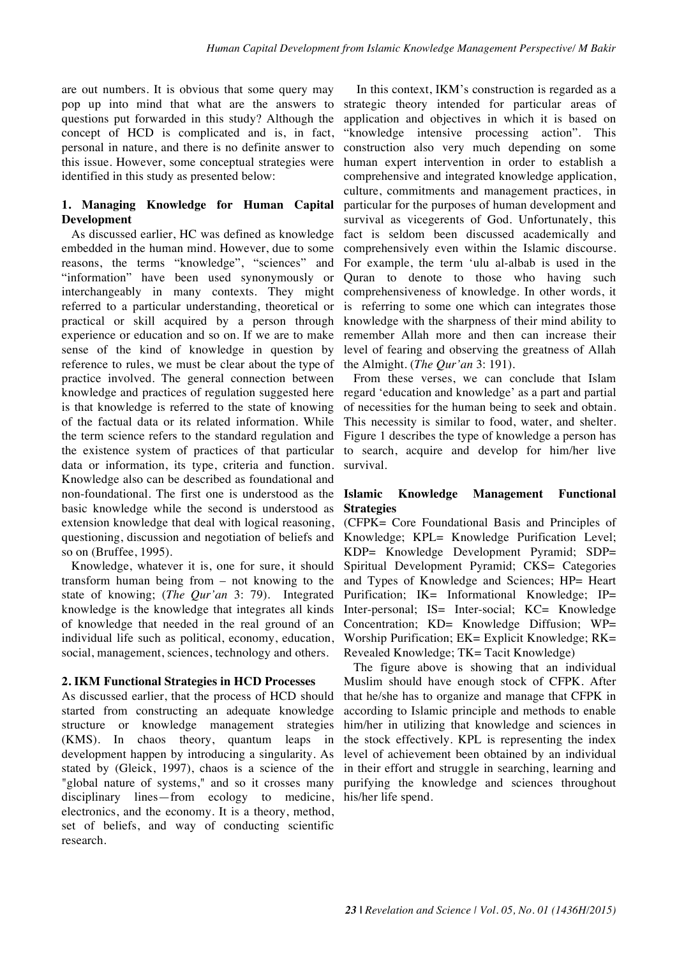are out numbers. It is obvious that some query may pop up into mind that what are the answers to questions put forwarded in this study? Although the concept of HCD is complicated and is, in fact, personal in nature, and there is no definite answer to this issue. However, some conceptual strategies were identified in this study as presented below:

## **1. Managing Knowledge for Human Capital Development**

As discussed earlier, HC was defined as knowledge embedded in the human mind. However, due to some reasons, the terms "knowledge", "sciences" and "information" have been used synonymously or interchangeably in many contexts. They might referred to a particular understanding, theoretical or practical or skill acquired by a person through experience or education and so on. If we are to make sense of the kind of knowledge in question by reference to rules, we must be clear about the type of practice involved. The general connection between knowledge and practices of regulation suggested here is that knowledge is referred to the state of knowing of the factual data or its related information. While the term science refers to the standard regulation and the existence system of practices of that particular data or information, its type, criteria and function. Knowledge also can be described as foundational and non-foundational. The first one is understood as the basic knowledge while the second is understood as extension knowledge that deal with logical reasoning, questioning, discussion and negotiation of beliefs and so on (Bruffee, 1995).

Knowledge, whatever it is, one for sure, it should transform human being from – not knowing to the state of knowing; (*The Qur'an* 3: 79). Integrated knowledge is the knowledge that integrates all kinds of knowledge that needed in the real ground of an individual life such as political, economy, education, social, management, sciences, technology and others.

### **2. IKM Functional Strategies in HCD Processes**

As discussed earlier, that the process of HCD should started from constructing an adequate knowledge structure or knowledge management strategies (KMS). In chaos theory, quantum leaps in development happen by introducing a singularity. As stated by (Gleick, 1997), chaos is a science of the "global nature of systems," and so it crosses many disciplinary lines—from ecology to medicine, his/her life spend.electronics, and the economy. It is a theory, method, set of beliefs, and way of conducting scientific research.

In this context, IKM's construction is regarded as a strategic theory intended for particular areas of application and objectives in which it is based on "knowledge intensive processing action". This construction also very much depending on some human expert intervention in order to establish a comprehensive and integrated knowledge application, culture, commitments and management practices, in particular for the purposes of human development and survival as vicegerents of God. Unfortunately, this fact is seldom been discussed academically and comprehensively even within the Islamic discourse. For example, the term 'ulu al-albab is used in the Quran to denote to those who having such comprehensiveness of knowledge. In other words, it is referring to some one which can integrates those knowledge with the sharpness of their mind ability to remember Allah more and then can increase their level of fearing and observing the greatness of Allah the Almight. (*The Qur'an* 3: 191).

From these verses, we can conclude that Islam regard 'education and knowledge' as a part and partial of necessities for the human being to seek and obtain. This necessity is similar to food, water, and shelter. Figure 1 describes the type of knowledge a person has to search, acquire and develop for him/her live survival.

### **Islamic Knowledge Management Functional Strategies**

(CFPK= Core Foundational Basis and Principles of Knowledge; KPL= Knowledge Purification Level; KDP= Knowledge Development Pyramid; SDP= Spiritual Development Pyramid; CKS= Categories and Types of Knowledge and Sciences; HP= Heart Purification; IK= Informational Knowledge; IP= Inter-personal; IS= Inter-social; KC= Knowledge Concentration; KD= Knowledge Diffusion; WP= Worship Purification; EK= Explicit Knowledge; RK= Revealed Knowledge; TK= Tacit Knowledge)

The figure above is showing that an individual Muslim should have enough stock of CFPK. After that he/she has to organize and manage that CFPK in according to Islamic principle and methods to enable him/her in utilizing that knowledge and sciences in the stock effectively. KPL is representing the index level of achievement been obtained by an individual in their effort and struggle in searching, learning and purifying the knowledge and sciences throughout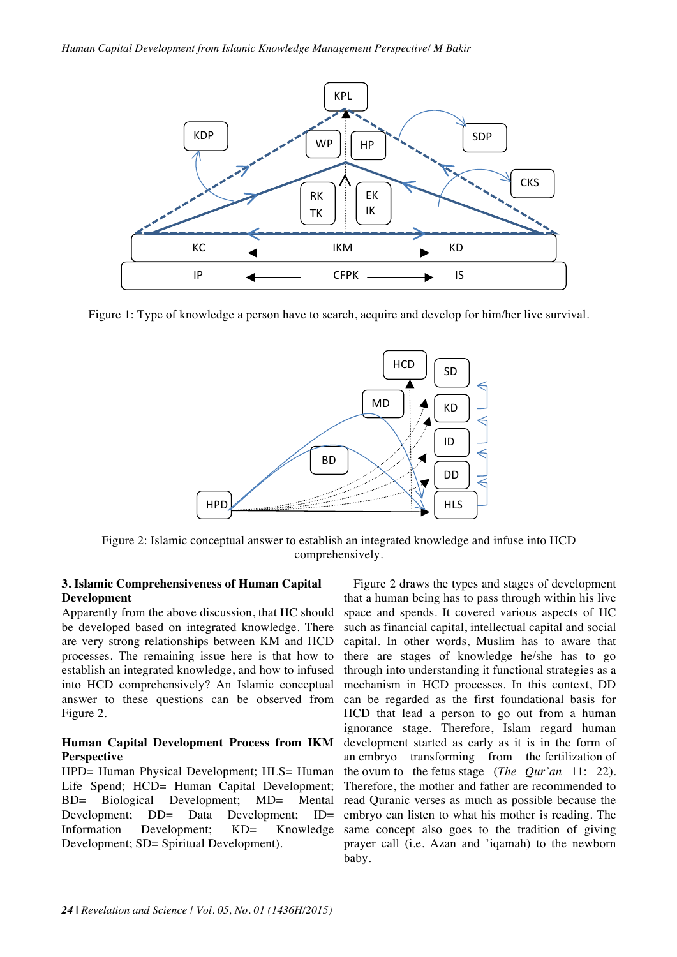

Figure 1: Type of knowledge a person have to search, acquire and develop for him/her live survival.



Figure 2: Islamic conceptual answer to establish an integrated knowledge and infuse into HCD comprehensively.

#### **3. Islamic Comprehensiveness of Human Capital Development**

Apparently from the above discussion, that HC should be developed based on integrated knowledge. There are very strong relationships between KM and HCD processes. The remaining issue here is that how to establish an integrated knowledge, and how to infused into HCD comprehensively? An Islamic conceptual answer to these questions can be observed from Figure 2.

#### **Human Capital Development Process from IKM Perspective**

HPD= Human Physical Development; HLS= Human Life Spend; HCD= Human Capital Development; BD= Biological Development; MD= Mental Development; DD= Data Development; ID= Information Development; KD= Knowledge Development; SD= Spiritual Development).

Figure 2 draws the types and stages of development that a human being has to pass through within his live space and spends. It covered various aspects of HC such as financial capital, intellectual capital and social capital. In other words, Muslim has to aware that there are stages of knowledge he/she has to go through into understanding it functional strategies as a mechanism in HCD processes. In this context, DD can be regarded as the first foundational basis for HCD that lead a person to go out from a human ignorance stage. Therefore, Islam regard human development started as early as it is in the form of an embryo transforming from the fertilization of the ovum to the fetus stage (*The Qur'an* 11: 22). Therefore, the mother and father are recommended to read Quranic verses as much as possible because the embryo can listen to what his mother is reading. The same concept also goes to the tradition of giving prayer call (i.e. Azan and 'iqamah) to the newborn baby.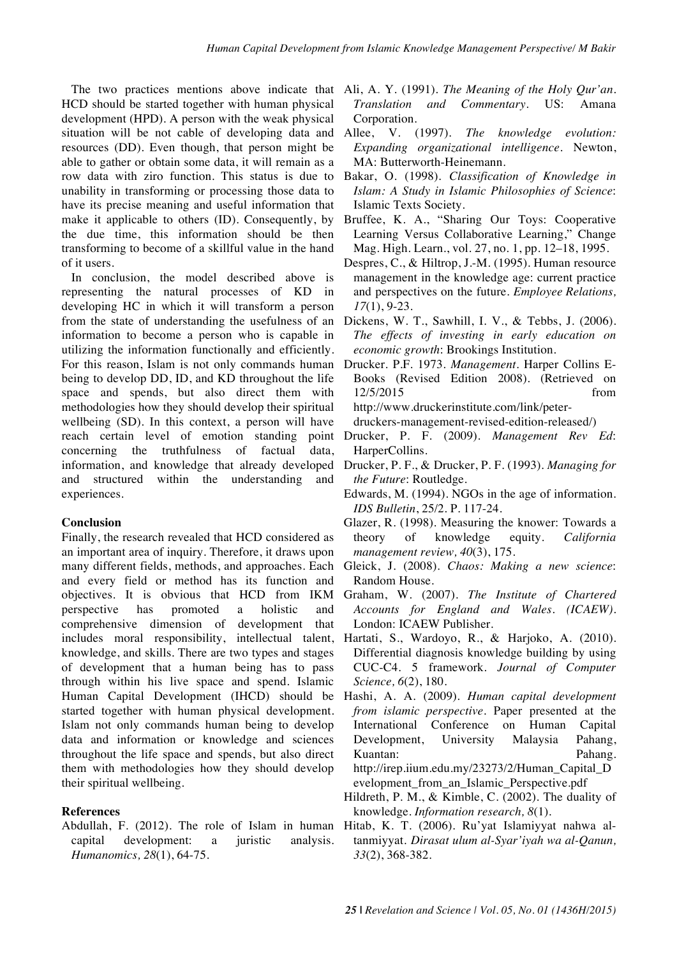The two practices mentions above indicate that HCD should be started together with human physical development (HPD). A person with the weak physical situation will be not cable of developing data and resources (DD). Even though, that person might be able to gather or obtain some data, it will remain as a row data with ziro function. This status is due to unability in transforming or processing those data to have its precise meaning and useful information that make it applicable to others (ID). Consequently, by the due time, this information should be then transforming to become of a skillful value in the hand of it users.

In conclusion, the model described above is representing the natural processes of KD in developing HC in which it will transform a person from the state of understanding the usefulness of an information to become a person who is capable in utilizing the information functionally and efficiently. For this reason, Islam is not only commands human being to develop DD, ID, and KD throughout the life space and spends, but also direct them with methodologies how they should develop their spiritual wellbeing (SD). In this context, a person will have reach certain level of emotion standing point concerning the truthfulness of factual data, information, and knowledge that already developed and structured within the understanding and experiences.

#### **Conclusion**

Finally, the research revealed that HCD considered as an important area of inquiry. Therefore, it draws upon many different fields, methods, and approaches. Each and every field or method has its function and objectives. It is obvious that HCD from IKM perspective has promoted a holistic and comprehensive dimension of development that includes moral responsibility, intellectual talent, knowledge, and skills. There are two types and stages of development that a human being has to pass through within his live space and spend. Islamic Human Capital Development (IHCD) should be started together with human physical development. Islam not only commands human being to develop data and information or knowledge and sciences throughout the life space and spends, but also direct them with methodologies how they should develop their spiritual wellbeing.

#### **References**

Abdullah, F. (2012). The role of Islam in human capital development: a juristic analysis. *Humanomics, 28*(1), 64-75.

- Ali, A. Y. (1991). *The Meaning of the Holy Qur'an. Translation and Commentary*. US: Amana Corporation.
- Allee, V. (1997). *The knowledge evolution: Expanding organizational intelligence*. Newton, MA: Butterworth-Heinemann.
- Bakar, O. (1998). *Classification of Knowledge in Islam: A Study in Islamic Philosophies of Science*: Islamic Texts Society.
- Bruffee, K. A., "Sharing Our Toys: Cooperative Learning Versus Collaborative Learning," Change Mag. High. Learn., vol. 27, no. 1, pp. 12–18, 1995.
- Despres, C., & Hiltrop, J.-M. (1995). Human resource management in the knowledge age: current practice and perspectives on the future. *Employee Relations, 17*(1), 9-23.
- Dickens, W. T., Sawhill, I. V., & Tebbs, J. (2006). *The effects of investing in early education on economic growth*: Brookings Institution.
- Drucker. P.F. 1973. *Management*. Harper Collins E-Books (Revised Edition 2008). (Retrieved on 12/5/2015 from http://www.druckerinstitute.com/link/peter-
- druckers-management-revised-edition-released/)
- Drucker, P. F. (2009). *Management Rev Ed*: HarperCollins.
- Drucker, P. F., & Drucker, P. F. (1993). *Managing for the Future*: Routledge.
- Edwards, M. (1994). NGOs in the age of information. *IDS Bulletin*, 25/2. P. 117-24.
- Glazer, R. (1998). Measuring the knower: Towards a theory of knowledge equity. *California management review, 40*(3), 175.
- Gleick, J. (2008). *Chaos: Making a new science*: Random House.
- Graham, W. (2007). *The Institute of Chartered Accounts for England and Wales. (ICAEW)*. London: ICAEW Publisher.
- Hartati, S., Wardoyo, R., & Harjoko, A. (2010). Differential diagnosis knowledge building by using CUC-C4. 5 framework. *Journal of Computer Science, 6*(2), 180.
- Hashi, A. A. (2009). *Human capital development from islamic perspective*. Paper presented at the International Conference on Human Capital Development, University Malaysia Pahang, Kuantan: Pahang. http://irep.iium.edu.my/23273/2/Human\_Capital\_D evelopment from an Islamic Perspective.pdf
- Hildreth, P. M., & Kimble, C. (2002). The duality of knowledge. *Information research, 8*(1).
- Hitab, K. T. (2006). Ru'yat Islamiyyat nahwa altanmiyyat. *Dirasat ulum al-Syar'iyah wa al-Qanun, 33*(2), 368-382.